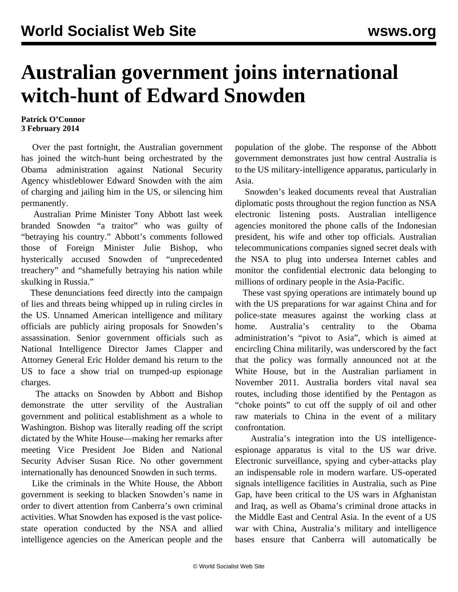## **Australian government joins international witch-hunt of Edward Snowden**

## **Patrick O'Connor 3 February 2014**

 Over the past fortnight, the Australian government has joined the witch-hunt being orchestrated by the Obama administration against National Security Agency whistleblower Edward Snowden with the aim of charging and jailing him in the US, or silencing him permanently.

 Australian Prime Minister Tony Abbott last week branded Snowden "a traitor" who was guilty of "betraying his country." Abbott's comments followed those of Foreign Minister Julie Bishop, who hysterically accused Snowden of "unprecedented treachery" and "shamefully betraying his nation while skulking in Russia."

 These denunciations feed directly into the campaign of lies and threats being whipped up in ruling circles in the US. Unnamed American intelligence and military officials are publicly airing proposals for Snowden's assassination. Senior government officials such as National Intelligence Director James Clapper and Attorney General Eric Holder demand his return to the US to face a show trial on trumped-up espionage charges.

 The attacks on Snowden by Abbott and Bishop demonstrate the utter servility of the Australian government and political establishment as a whole to Washington. Bishop was literally reading off the script dictated by the White House—making her remarks after meeting Vice President Joe Biden and National Security Adviser Susan Rice. No other government internationally has denounced Snowden in such terms.

 Like the criminals in the White House, the Abbott government is seeking to blacken Snowden's name in order to divert attention from Canberra's own criminal activities. What Snowden has exposed is the vast policestate operation conducted by the NSA and allied intelligence agencies on the American people and the population of the globe. The response of the Abbott government demonstrates just how central Australia is to the US military-intelligence apparatus, particularly in Asia.

 Snowden's leaked documents reveal that Australian diplomatic posts throughout the region function as NSA electronic listening posts. Australian intelligence agencies monitored the phone calls of the Indonesian president, his wife and other top officials. Australian telecommunications companies signed secret deals with the NSA to plug into undersea Internet cables and monitor the confidential electronic data belonging to millions of ordinary people in the Asia-Pacific.

 These vast spying operations are intimately bound up with the US preparations for war against China and for police-state measures against the working class at home. Australia's centrality to the Obama administration's "pivot to Asia", which is aimed at encircling China militarily, was underscored by the fact that the policy was formally announced not at the White House, but in the Australian parliament in November 2011. Australia borders vital naval sea routes, including those identified by the Pentagon as "choke points" to cut off the supply of oil and other raw materials to China in the event of a military confrontation.

 Australia's integration into the US intelligenceespionage apparatus is vital to the US war drive. Electronic surveillance, spying and cyber-attacks play an indispensable role in modern warfare. US-operated signals intelligence facilities in Australia, such as Pine Gap, have been critical to the US wars in Afghanistan and Iraq, as well as Obama's criminal drone attacks in the Middle East and Central Asia. In the event of a US war with China, Australia's military and intelligence bases ensure that Canberra will automatically be